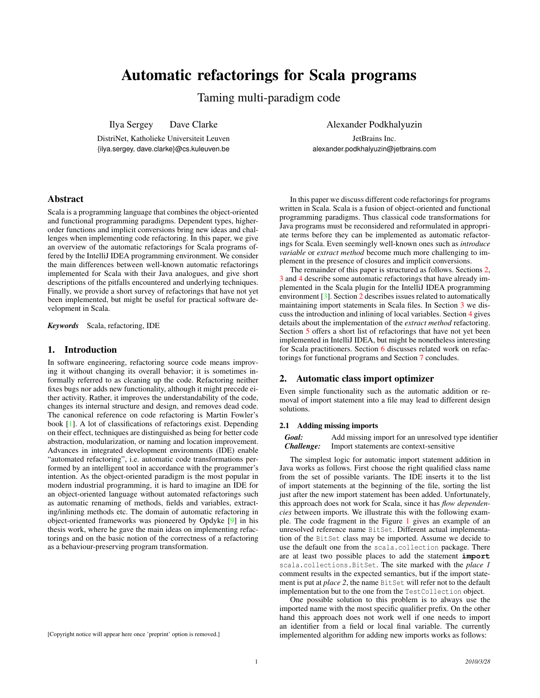# Automatic refactorings for Scala programs

Taming multi-paradigm code

Ilya Sergey Dave Clarke

DistriNet, Katholieke Universiteit Leuven {ilya.sergey, dave.clarke}@cs.kuleuven.be

JetBrains Inc. alexander.podkhalyuzin@jetbrains.com

# Abstract

Scala is a programming language that combines the object-oriented and functional programming paradigms. Dependent types, higherorder functions and implicit conversions bring new ideas and challenges when implementing code refactoring. In this paper, we give an overview of the automatic refactorings for Scala programs offered by the IntelliJ IDEA programming environment. We consider the main differences between well-known automatic refactorings implemented for Scala with their Java analogues, and give short descriptions of the pitfalls encountered and underlying techniques. Finally, we provide a short survey of refactorings that have not yet been implemented, but might be useful for practical software development in Scala.

*Keywords* Scala, refactoring, IDE

## 1. Introduction

In software engineering, refactoring source code means improving it without changing its overall behavior; it is sometimes informally referred to as cleaning up the code. Refactoring neither fixes bugs nor adds new functionality, although it might precede either activity. Rather, it improves the understandability of the code, changes its internal structure and design, and removes dead code. The canonical reference on code refactoring is Martin Fowler's book [\[1\]](#page-4-0). A lot of classifications of refactorings exist. Depending on their effect, techniques are distinguished as being for better code abstraction, modularization, or naming and location improvement. Advances in integrated development environments (IDE) enable "automated refactoring", i.e. automatic code transformations performed by an intelligent tool in accordance with the programmer's intention. As the object-oriented paradigm is the most popular in modern industrial programming, it is hard to imagine an IDE for an object-oriented language without automated refactorings such as automatic renaming of methods, fields and variables, extracting/inlining methods etc. The domain of automatic refactoring in object-oriented frameworks was pioneered by Opdyke [\[9\]](#page-5-0) in his thesis work, where he gave the main ideas on implementing refactorings and on the basic notion of the correctness of a refactoring as a behaviour-preserving program transformation.

[Copyright notice will appear here once 'preprint' option is removed.]

In this paper we discuss different code refactorings for programs written in Scala. Scala is a fusion of object-oriented and functional programming paradigms. Thus classical code transformations for Java programs must be reconsidered and reformulated in appropriate terms before they can be implemented as automatic refactorings for Scala. Even seemingly well-known ones such as *introduce variable* or *extract method* become much more challenging to implement in the presence of closures and implicit conversions.

The remainder of this paper is structured as follows. Sections [2,](#page-0-0) [3](#page-1-0) and [4](#page-2-0) describe some automatic refactorings that have already implemented in the Scala plugin for the IntelliJ IDEA programming environment [\[3\]](#page-4-1). Section [2](#page-0-0) describes issues related to automatically maintaining import statements in Scala files. In Section [3](#page-1-0) we discuss the introduction and inlining of local variables. Section [4](#page-2-0) gives details about the implementation of the *extract method* refactoring. Section [5](#page-3-0) offers a short list of refactorings that have not yet been implemented in IntelliJ IDEA, but might be nonetheless interesting for Scala practitioners. Section [6](#page-4-2) discusses related work on refactorings for functional programs and Section [7](#page-4-3) concludes.

## <span id="page-0-0"></span>2. Automatic class import optimizer

Even simple functionality such as the automatic addition or removal of import statement into a file may lead to different design solutions.

#### 2.1 Adding missing imports

*Goal:* Add missing import for an unresolved type identifier *Challenge:* Import statements are context-sensitive

The simplest logic for automatic import statement addition in Java works as follows. First choose the right qualified class name from the set of possible variants. The IDE inserts it to the list of import statements at the beginning of the file, sorting the list just after the new import statement has been added. Unfortunately, this approach does not work for Scala, since it has *flow dependencies* between imports. We illustrate this with the following example. The code fragment in the Figure [1](#page-1-1) gives an example of an unresolved reference name BitSet. Different actual implementation of the BitSet class may be imported. Assume we decide to use the default one from the scala.collection package. There are at least two possible places to add the statement **import** scala.collections.BitSet. The site marked with the *place 1* comment results in the expected semantics, but if the import statement is put at *place 2*, the name BitSet will refer not to the default implementation but to the one from the TestCollection object.

One possible solution to this problem is to always use the imported name with the most specific qualifier prefix. On the other hand this approach does not work well if one needs to import an identifier from a field or local final variable. The currently implemented algorithm for adding new imports works as follows: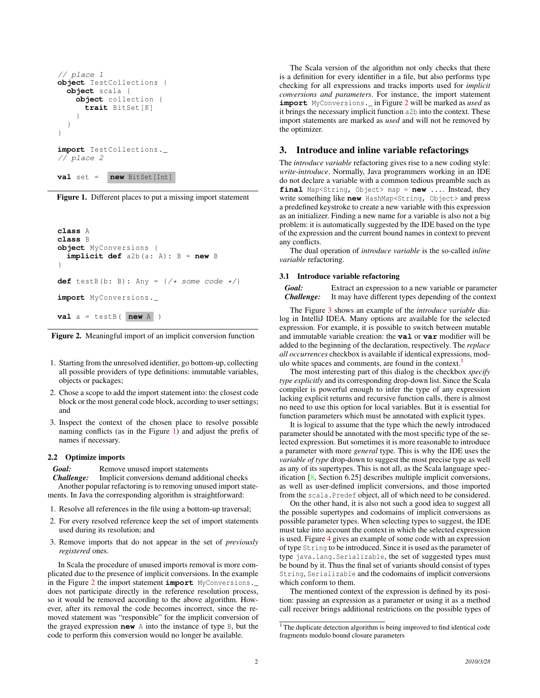```
// place 1
object TestCollections {
  object scala {
    object collection {
      trait BitSet[K]
    }
  }
}
import TestCollections._
// place 2
val set = new BitSet[Int]
```
<span id="page-1-1"></span>

```
class A
class B
object MyConversions {
  implicit def a2b(a: A): B = new B
}
def testB(b: B): Any = \{\frac{\angle x}{\angle x} some code \angle x}
import MyConversions._
val a = testB( new A )
```
<span id="page-1-2"></span>Figure 2. Meaningful import of an implicit conversion function

- 1. Starting from the unresolved identifier, go bottom-up, collecting all possible providers of type definitions: immutable variables, objects or packages;
- 2. Chose a scope to add the import statement into: the closest code block or the most general code block, according to user settings; and
- 3. Inspect the context of the chosen place to resolve possible naming conflicts (as in the Figure [1\)](#page-1-1) and adjust the prefix of names if necessary.

#### 2.2 Optimize imports

*Goal:* Remove unused import statements

*Challenge:* Implicit conversions demand additional checks Another popular refactoring is to removing unused import statements. In Java the corresponding algorithm is straightforward:

- 1. Resolve all references in the file using a bottom-up traversal;
- 2. For every resolved reference keep the set of import statements used during its resolution; and
- 3. Remove imports that do not appear in the set of *previously registered* ones.

In Scala the procedure of unused imports removal is more complicated due to the presence of implicit conversions. In the example in the Figure [2](#page-1-2) the import statement **import** MyConversions.\_ does not participate directly in the reference resolution process, so it would be removed according to the above algorithm. However, after its removal the code becomes incorrect, since the removed statement was "responsible" for the implicit conversion of the grayed expression **new** A into the instance of type B, but the code to perform this conversion would no longer be available.

The Scala version of the algorithm not only checks that there is a definition for every identifier in a file, but also performs type checking for all expressions and tracks imports used for *implicit conversions and parameters*. For instance, the import statement **import** MyConversions.\_ in Figure [2](#page-1-2) will be marked as *used* as it brings the necessary implicit function a2b into the context. These import statements are marked as *used* and will not be removed by the optimizer.

## <span id="page-1-0"></span>3. Introduce and inline variable refactorings

The *introduce variable* refactoring gives rise to a new coding style: *write-introduce*. Normally, Java programmers working in an IDE do not declare a variable with a common tedious preamble such as **final** Map<String, Object> map = **new** .... Instead, they write something like **new** HashMap<String, Object> and press a predefined keystroke to create a new variable with this expression as an initializer. Finding a new name for a variable is also not a big problem: it is automatically suggested by the IDE based on the type of the expression and the current bound names in context to prevent any conflicts.

The dual operation of *introduce variable* is the so-called *inline variable* refactoring.

#### 3.1 Introduce variable refactoring

*Goal:* Extract an expression to a new variable or parameter *Challenge:* It may have different types depending of the context

The Figure [3](#page-2-1) shows an example of the *introduce variable* dialog in IntelliJ IDEA. Many options are available for the selected expression. For example, it is possible to switch between mutable and immutable variable creation: the **val** or **var** modifier will be added to the beginning of the declaration, respectively. The *replace all occurrences* checkbox is available if identical expressions, mod-ulo white spaces and comments, are found in the context.<sup>[1](#page-1-3)</sup>

The most interesting part of this dialog is the checkbox *specify type explicitly* and its corresponding drop-down list. Since the Scala compiler is powerful enough to infer the type of any expression lacking explicit returns and recursive function calls, there is almost no need to use this option for local variables. But it is essential for function parameters which must be annotated with explicit types.

It is logical to assume that the type which the newly introduced parameter should be annotated with the most specific type of the selected expression. But sometimes it is more reasonable to introduce a parameter with more *general* type. This is why the IDE uses the *variable of type* drop-down to suggest the most precise type as well as any of its supertypes. This is not all, as the Scala language specification [\[8,](#page-5-1) Section 6.25] describes multiple implicit conversions, as well as user-defined implicit conversions, and those imported from the scala.Predef object, all of which need to be considered.

On the other hand, it is also not such a good idea to suggest all the possible supertypes and codomains of implicit conversions as possible parameter types. When selecting types to suggest, the IDE must take into account the context in which the selected expression is used. Figure [4](#page-2-2) gives an example of some code with an expression of type String to be introduced. Since it is used as the parameter of type java.lang.Serializable, the set of suggested types must be bound by it. Thus the final set of variants should consist of types String, Serializable and the codomains of implicit conversions which conform to them.

The mentioned context of the expression is defined by its position: passing an expression as a parameter or using it as a method call receiver brings additional restrictions on the possible types of

<span id="page-1-3"></span><sup>&</sup>lt;sup>1</sup> The duplicate detection algorithm is being improved to find identical code fragments modulo bound closure parameters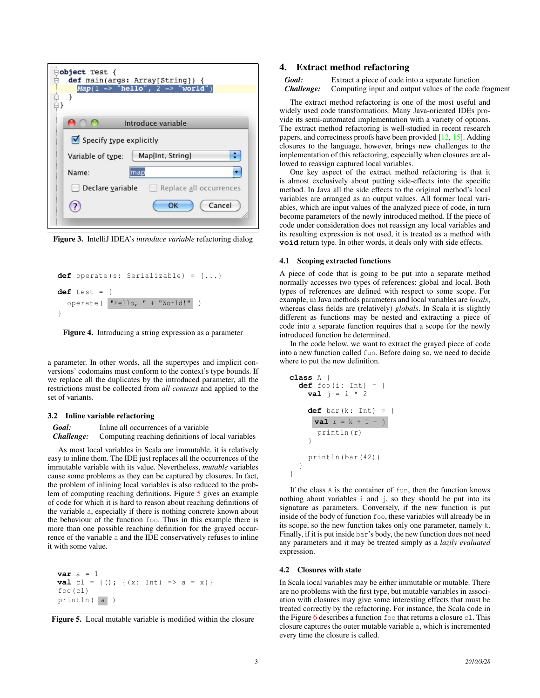| Object Test {<br>def main(args: Array[String]) {<br>$Map(1 \rightarrow "hello", 2 \rightarrow "world")$ |  |
|---------------------------------------------------------------------------------------------------------|--|
| Introduce variable                                                                                      |  |
| Specify type explicitly                                                                                 |  |
| Map[Int, String]<br>Variable of type:                                                                   |  |
| Name:<br>map                                                                                            |  |
| Declare variable<br>Replace all occurrences                                                             |  |
| Cancel<br>OK                                                                                            |  |
|                                                                                                         |  |

<span id="page-2-1"></span>Figure 3. IntelliJ IDEA's *introduce variable* refactoring dialog

```
def operate(s: Serializable) = {...}
def test = {
  operate( "Hello, " + "World!" )
}
```
<span id="page-2-2"></span>Figure 4. Introducing a string expression as a parameter

a parameter. In other words, all the supertypes and implicit conversions' codomains must conform to the context's type bounds. If we replace all the duplicates by the introduced parameter, all the restrictions must be collected from *all contexts* and applied to the set of variants.

#### 3.2 Inline variable refactoring

*Goal:* Inline all occurrences of a variable *Challenge:* Computing reaching definitions of local variables

As most local variables in Scala are immutable, it is relatively easy to inline them. The IDE just replaces all the occurrences of the immutable variable with its value. Nevertheless, *mutable* variables cause some problems as they can be captured by closures. In fact, the problem of inlining local variables is also reduced to the problem of computing reaching definitions. Figure [5](#page-2-3) gives an example of code for which it is hard to reason about reaching definitions of the variable a, especially if there is nothing concrete known about the behaviour of the function foo. Thus in this example there is more than one possible reaching definition for the grayed occurrence of the variable a and the IDE conservatively refuses to inline it with some value.

```
var a = 1
val cl = {(); {(x: Int) => a = x}}
foo(cl)
println( a )
```
<span id="page-2-3"></span>

# <span id="page-2-0"></span>4. Extract method refactoring

*Goal:* Extract a piece of code into a separate function *Challenge:* Computing input and output values of the code fragment

The extract method refactoring is one of the most useful and widely used code transformations. Many Java-oriented IDEs provide its semi-automated implementation with a variety of options. The extract method refactoring is well-studied in recent research papers, and correctness proofs have been provided [\[12,](#page-5-2) [15\]](#page-5-3). Adding closures to the language, however, brings new challenges to the implementation of this refactoring, especially when closures are allowed to reassign captured local variables.

One key aspect of the extract method refactoring is that it is almost exclusively about putting side-effects into the specific method. In Java all the side effects to the original method's local variables are arranged as an output values. All former local variables, which are input values of the analyzed piece of code, in turn become parameters of the newly introduced method. If the piece of code under consideration does not reassign any local variables and its resulting expression is not used, it is treated as a method with **void** return type. In other words, it deals only with side effects.

#### 4.1 Scoping extracted functions

A piece of code that is going to be put into a separate method normally accesses two types of references: global and local. Both types of references are defined with respect to some scope. For example, in Java methods parameters and local variables are *locals*, whereas class fields are (relatively) *globals*. In Scala it is slightly different as functions may be nested and extracting a piece of code into a separate function requires that a scope for the newly introduced function be determined.

In the code below, we want to extract the grayed piece of code into a new function called fun. Before doing so, we need to decide where to put the new definition.

```
class A {
  def foo(i: Int) = {
    val j = i * 2def bar(k: Int) = {
     val r = k + i + j
      println(r)
    }
    println(bar (42))
  }
}
```
If the class A is the container of fun, then the function knows nothing about variables i and j, so they should be put into its signature as parameters. Conversely, if the new function is put inside of the body of function foo, these variables will already be in its scope, so the new function takes only one parameter, namely k. Finally, if it is put inside bar's body, the new function does not need any parameters and it may be treated simply as a *lazily evaluated* expression.

#### 4.2 Closures with state

In Scala local variables may be either immutable or mutable. There are no problems with the first type, but mutable variables in association with closures may give some interesting effects that must be treated correctly by the refactoring. For instance, the Scala code in the Figure [6](#page-3-1) describes a function foo that returns a closure cl. This closure captures the outer mutable variable a, which is incremented every time the closure is called.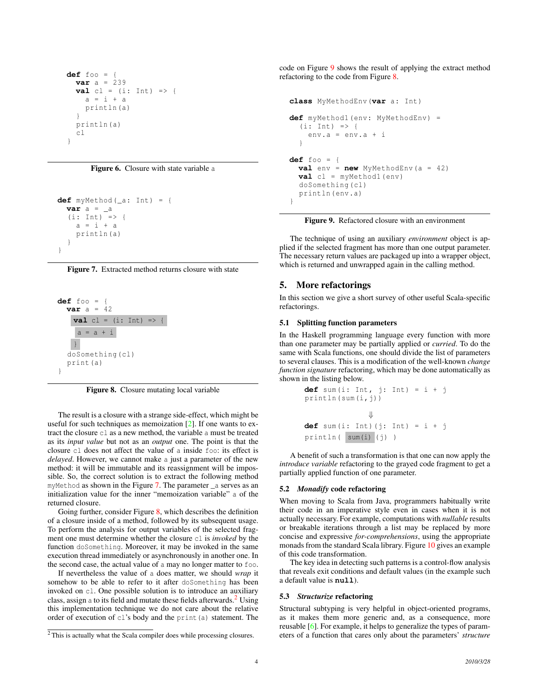```
def foo = {
  var a = 239
  val cl = (i: Int) \Rightarrowa = i + aprintln(a)
  }
  println(a)
  cl
}
```
<span id="page-3-1"></span>Figure 6. Closure with state variable a

```
def myMethod(_a: Int) = {
  var a = a(ii: Int) => {
    a = i + aprintln(a)
  }
}
```
<span id="page-3-2"></span>



<span id="page-3-3"></span>Figure 8. Closure mutating local variable

The result is a closure with a strange side-effect, which might be useful for such techniques as memoization [\[2\]](#page-4-4). If one wants to extract the closure cl as a new method, the variable a must be treated as its *input value* but not as an *output* one. The point is that the closure cl does not affect the value of a inside foo: its effect is *delayed*. However, we cannot make a just a parameter of the new method: it will be immutable and its reassignment will be impossible. So, the correct solution is to extract the following method myMethod as shown in the Figure [7.](#page-3-2) The parameter \_a serves as an initialization value for the inner "memoization variable" a of the returned closure.

Going further, consider Figure [8,](#page-3-3) which describes the definition of a closure inside of a method, followed by its subsequent usage. To perform the analysis for output variables of the selected fragment one must determine whether the closure cl is *invoked* by the function doSomething. Moreover, it may be invoked in the same execution thread immediately or asynchronously in another one. In the second case, the actual value of a may no longer matter to foo.

If nevertheless the value of a does matter, we should *wrap* it somehow to be able to refer to it after doSomething has been invoked on cl. One possible solution is to introduce an auxiliary class, assign a to its field and mutate these fields afterwards. $2$  Using this implementation technique we do not care about the relative order of execution of cl's body and the print(a) statement. The code on Figure [9](#page-3-5) shows the result of applying the extract method refactoring to the code from Figure [8.](#page-3-3)

```
class MyMethodEnv(var a: Int)
def myMethod1(env: MyMethodEnv) =
  (i: Int) => {
    env.a = env.a + i
  }
def foo = {
  val env = new MyMethodEnv(a = 42)
  val cl = myMethod1(env)
  doSomething(cl)
  println(env.a)
}
```
<span id="page-3-5"></span>Figure 9. Refactored closure with an environment

The technique of using an auxiliary *environment* object is applied if the selected fragment has more than one output parameter. The necessary return values are packaged up into a wrapper object, which is returned and unwrapped again in the calling method.

# <span id="page-3-0"></span>5. More refactorings

In this section we give a short survey of other useful Scala-specific refactorings.

# 5.1 Splitting function parameters

In the Haskell programming language every function with more than one parameter may be partially applied or *curried*. To do the same with Scala functions, one should divide the list of parameters to several clauses. This is a modification of the well-known *change function signature* refactoring, which may be done automatically as shown in the listing below.

```
def sum(i: Int, j: Int) = i + jprintln(sum(i,j))
              ⇓
def sum(i: Int)(j: Int) = i + j
println( sum(i) (j) )
```
A benefit of such a transformation is that one can now apply the *introduce variable* refactoring to the grayed code fragment to get a partially applied function of one parameter.

# 5.2 *Monadify* code refactoring

When moving to Scala from Java, programmers habitually write their code in an imperative style even in cases when it is not actually necessary. For example, computations with *nullable* results or breakable iterations through a list may be replaced by more concise and expressive *for-comprehensions*, using the appropriate monads from the standard Scala library. Figure [10](#page-4-5) gives an example of this code transformation.

The key idea in detecting such patterns is a control-flow analysis that reveals exit conditions and default values (in the example such a default value is **null**).

## 5.3 *Structurize* refactoring

Structural subtyping is very helpful in object-oriented programs, as it makes them more generic and, as a consequence, more reusable [\[6\]](#page-4-6). For example, it helps to generalize the types of parameters of a function that cares only about the parameters' *structure*

<span id="page-3-4"></span><sup>2</sup> This is actually what the Scala compiler does while processing closures.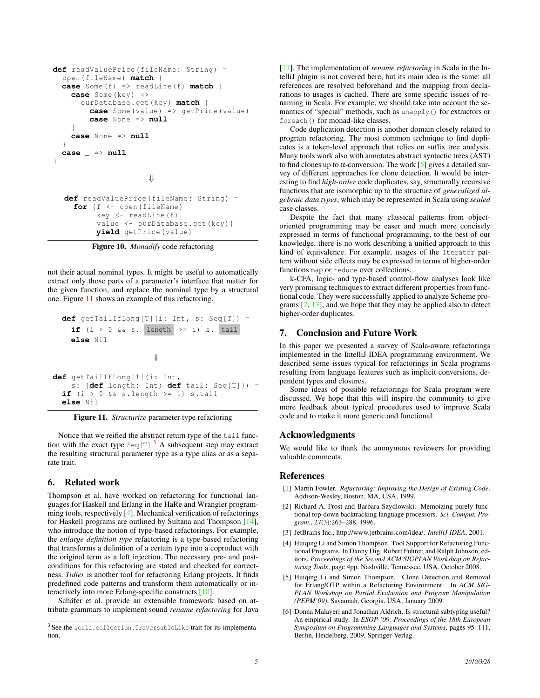```
def readValuePrice(fileName: String) =
  open(fileName) match {
 case Some(f) => readLine(f) match {
    case Some(key) =>
      ourDatabase.get(key) match {
        case Some(value) => getPrice(value)
        case None => null
    }
    case None => null
  }
  case _ => null
}
                     ⇓
  def readValuePrice(fileName: String) =
    for {f <- open(fileName)
         key <- readLine(f)
         value <- ourDatabase.get(key)}
         yield getPrice(value)
```
<span id="page-4-5"></span>

not their actual nominal types. It might be useful to automatically extract only those parts of a parameter's interface that matter for the given function, and replace the nominal type by a structural one. Figure [11](#page-4-7) shows an example of this refactoring.

```
def getTailIfLong[T](i: Int, s: Seq[T]) =
    if (i > 0 & s. length > = i s. tail
    else Nil
                       ⇓
def getTailIfLong[T](i: Int ,
    s: {def length: Int; def tail: Seq[T]}) =
  if (i > 0 & & s.s. length >= i) s.tail
 else Nil
```
<span id="page-4-7"></span>Figure 11. *Structurize* parameter type refactoring

Notice that we reified the abstract return type of the tail function with the exact type  $\text{Seq}[T]$ .<sup>[3](#page-4-8)</sup> A subsequent step may extract the resulting structural parameter type as a type alias or as a separate trait.

## <span id="page-4-2"></span>6. Related work

Thompson et al. have worked on refactoring for functional languages for Haskell and Erlang in the HaRe and Wrangler programming tools, respectively [\[4\]](#page-4-9). Mechanical verification of refactorings for Haskell programs are outlined by Sultana and Thompson [\[14\]](#page-5-4), who introduce the notion of type-based refactorings. For example, the *enlarge definition type* refactoring is a type-based refactoring that transforms a definition of a certain type into a coproduct with the original term as a left injection. The necessary pre- and postconditions for this refactoring are stated and checked for correctness. *Tidier* is another tool for refactoring Erlang projects. It finds predefined code patterns and transform them automatically or interactively into more Erlang-specific constructs [\[10\]](#page-5-5).

Schäfer et al. provide an extensible framework based on attribute grammars to implement sound *rename refactoring* for Java [\[11\]](#page-5-6). The implementation of *rename refactoring* in Scala in the IntelliJ plugin is not covered here, but its main idea is the same: all references are resolved beforehand and the mapping from declarations to usages is cached. There are some specific issues of renaming in Scala. For example, we should take into account the semantics of "special" methods, such as unapply() for extractors or foreach() for monad-like classes.

Code duplication detection is another domain closely related to program refactoring. The most common technique to find duplicates is a token-level approach that relies on suffix tree analysis. Many tools work also with annotates abstract syntactic trees (AST) to find clones up to  $\alpha$ -conversion. The work [\[5\]](#page-4-10) gives a detailed survey of different approaches for clone detection. It would be interesting to find *high-order* code duplicates, say, structurally recursive functions that are isomorphic up to the structure of *generalized algebraic data types*, which may be represented in Scala using *sealed* case classes.

Despite the fact that many classical patterns from objectoriented programming may be easer and much more concisely expressed in terms of functional programming, to the best of our knowledge, there is no work describing a unified approach to this kind of equivalence. For example, usages of the Iterator pattern without side effects may be expressed in terms of higher-order functions map or reduce over collections.

k-CFA, logic- and type-based control-flow analyses look like very promising techniques to extract different properties from functional code. They were successfully applied to analyze Scheme programs [\[7,](#page-5-7) [13\]](#page-5-8), and we hope that they may be applied also to detect higher-order duplicates.

# <span id="page-4-3"></span>7. Conclusion and Future Work

In this paper we presented a survey of Scala-aware refactorings implemented in the IntelliJ IDEA programming environment. We described some issues typical for refactorings in Scala programs resulting from language features such as implicit conversions, dependent types and closures.

Some ideas of possible refactorings for Scala program were discussed. We hope that this will inspire the community to give more feedback about typical procedures used to improve Scala code and to make it more generic and functional.

# Acknowledgments

We would like to thank the anonymous reviewers for providing valuable comments.

## References

- <span id="page-4-0"></span>[1] Martin Fowler. *Refactoring: Improving the Design of Existing Code*. Addison-Wesley, Boston, MA, USA, 1999.
- <span id="page-4-4"></span>[2] Richard A. Frost and Barbara Szydlowski. Memoizing purely functional top-down backtracking language processors. *Sci. Comput. Program.*, 27(3):263–288, 1996.
- <span id="page-4-1"></span>[3] JetBrains Inc., http://www.jetbrains.com/idea/. *IntelliJ IDEA*, 2001.
- <span id="page-4-9"></span>[4] Huiging Li and Simon Thompson. Tool Support for Refactoring Functional Programs. In Danny Dig, Robert Fuhrer, and Ralph Johnson, editors, *Proceedings of the Second ACM SIGPLAN Workshop on Refactoring Tools*, page 4pp, Nashville, Tennessee, USA, October 2008.
- <span id="page-4-10"></span>[5] Huiqing Li and Simon Thompson. Clone Detection and Removal for Erlang/OTP within a Refactoring Environment. In *ACM SIG-PLAN Workshop on Partial Evaluation and Program Manipulation (PEPM'09)*, Savannah, Georgia, USA, January 2009.
- <span id="page-4-6"></span>[6] Donna Malayeri and Jonathan Aldrich. Is structural subtyping useful? An empirical study. In *ESOP '09: Proceedings of the 18th European Symposium on Programming Languages and Systems*, pages 95–111, Berlin, Heidelberg, 2009. Springer-Verlag.

<span id="page-4-8"></span><sup>3</sup> See the scala.collection.TraversableLike trait for its implementation.